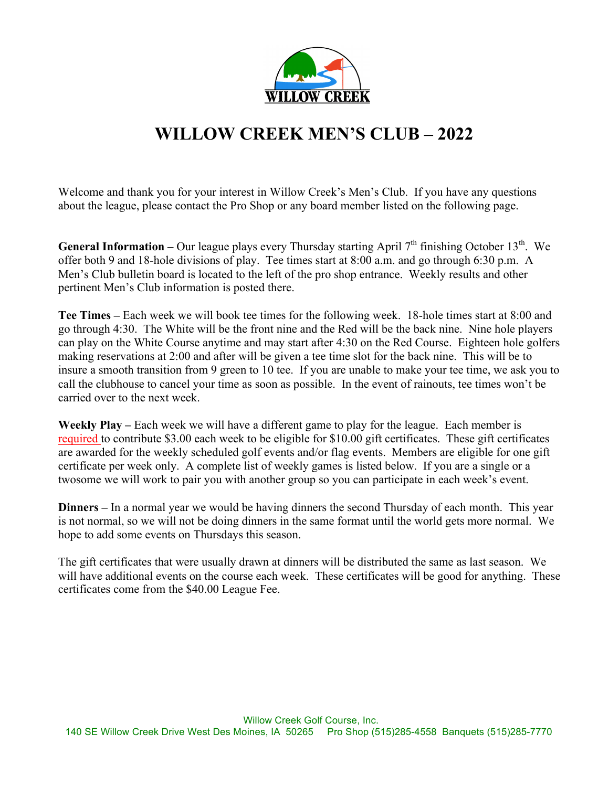

# **WILLOW CREEK MEN'S CLUB – 2022**

Welcome and thank you for your interest in Willow Creek's Men's Club. If you have any questions about the league, please contact the Pro Shop or any board member listed on the following page.

**General Information** – Our league plays every Thursday starting April 7<sup>th</sup> finishing October 13<sup>th</sup>. We offer both 9 and 18-hole divisions of play. Tee times start at 8:00 a.m. and go through 6:30 p.m. A Men's Club bulletin board is located to the left of the pro shop entrance. Weekly results and other pertinent Men's Club information is posted there.

**Tee Times –** Each week we will book tee times for the following week. 18-hole times start at 8:00 and go through 4:30. The White will be the front nine and the Red will be the back nine. Nine hole players can play on the White Course anytime and may start after 4:30 on the Red Course. Eighteen hole golfers making reservations at 2:00 and after will be given a tee time slot for the back nine. This will be to insure a smooth transition from 9 green to 10 tee. If you are unable to make your tee time, we ask you to call the clubhouse to cancel your time as soon as possible. In the event of rainouts, tee times won't be carried over to the next week.

**Weekly Play –** Each week we will have a different game to play for the league. Each member is required to contribute \$3.00 each week to be eligible for \$10.00 gift certificates. These gift certificates are awarded for the weekly scheduled golf events and/or flag events. Members are eligible for one gift certificate per week only. A complete list of weekly games is listed below. If you are a single or a twosome we will work to pair you with another group so you can participate in each week's event.

**Dinners –** In a normal year we would be having dinners the second Thursday of each month. This year is not normal, so we will not be doing dinners in the same format until the world gets more normal. We hope to add some events on Thursdays this season.

The gift certificates that were usually drawn at dinners will be distributed the same as last season. We will have additional events on the course each week. These certificates will be good for anything. These certificates come from the \$40.00 League Fee.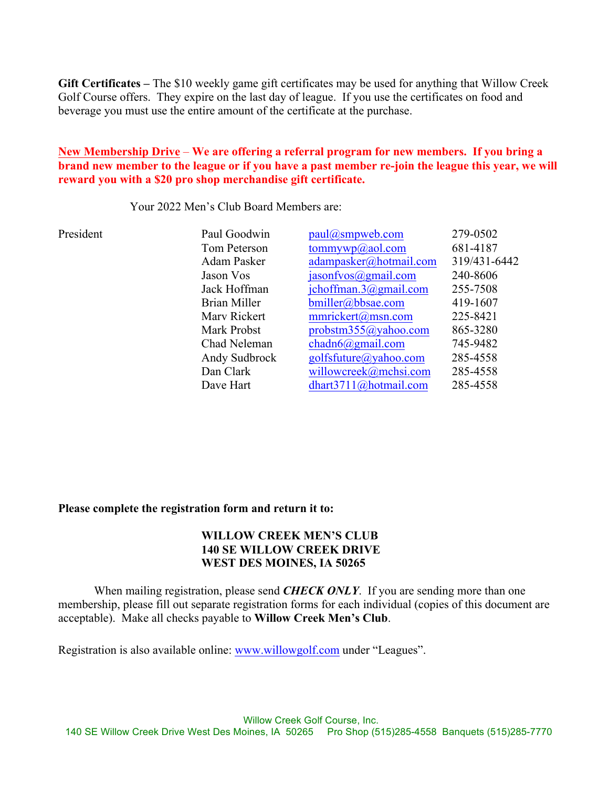**Gift Certificates –** The \$10 weekly game gift certificates may be used for anything that Willow Creek Golf Course offers. They expire on the last day of league. If you use the certificates on food and beverage you must use the entire amount of the certificate at the purchase.

#### **New Membership Drive** – **We are offering a referral program for new members. If you bring a brand new member to the league or if you have a past member re-join the league this year, we will reward you with a \$20 pro shop merchandise gift certificate.**

Your 2022 Men's Club Board Members are:

| President | Paul Goodwin  | paul@smpweb.com               | 279-0502     |
|-----------|---------------|-------------------------------|--------------|
|           | Tom Peterson  | tommywp@aol.com               | 681-4187     |
|           | Adam Pasker   | adampasker@hotmail.com        | 319/431-6442 |
|           | Jason Vos     | $jasonfvos(\omega gmail.com)$ | 240-8606     |
|           | Jack Hoffman  | jchoffman. $3$ @gmail.com     | 255-7508     |
|           | Brian Miller  | bmiller@bbsae.com             | 419-1607     |
|           | Mary Rickert  | mmrickert@msn.com             | 225-8421     |
|           | Mark Probst   | probstm355@yahoo.com          | 865-3280     |
|           | Chad Neleman  | $chadh 6(a)$ gmail.com        | 745-9482     |
|           | Andy Sudbrock | golfsfuture@yahoo.com         | 285-4558     |
|           | Dan Clark     | willowcreek@mchsi.com         | 285-4558     |
|           | Dave Hart     | dhart3711@hotmail.com         | 285-4558     |

#### **Please complete the registration form and return it to:**

#### **WILLOW CREEK MEN'S CLUB 140 SE WILLOW CREEK DRIVE WEST DES MOINES, IA 50265**

When mailing registration, please send **CHECK ONLY**. If you are sending more than one membership, please fill out separate registration forms for each individual (copies of this document are acceptable). Make all checks payable to **Willow Creek Men's Club**.

Registration is also available online: www.willowgolf.com under "Leagues".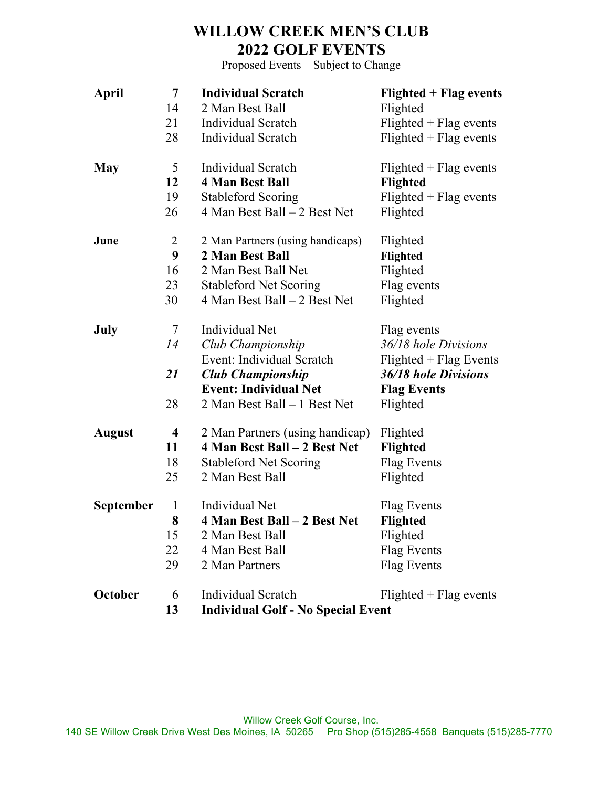## **WILLOW CREEK MEN'S CLUB 2022 GOLF EVENTS**

Proposed Events – Subject to Change

| <b>April</b>     | 7            | <b>Individual Scratch</b>                 | <b>Flighted + Flag events</b>      |
|------------------|--------------|-------------------------------------------|------------------------------------|
|                  | 14           | 2 Man Best Ball                           | Flighted                           |
|                  | 21           | <b>Individual Scratch</b>                 | $F\$                               |
|                  | 28           | <b>Individual Scratch</b>                 | $F$ lighted + $F$ lag events       |
| <b>May</b>       | 5            | <b>Individual Scratch</b>                 | $F\$                               |
|                  | 12           | <b>4 Man Best Ball</b>                    | <b>Flighted</b>                    |
|                  | 19           | <b>Stableford Scoring</b>                 | $F{{\rm lighted}} + {Flag}$ events |
|                  | 26           | 4 Man Best Ball – 2 Best Net              | Flighted                           |
| June             | 2            | 2 Man Partners (using handicaps)          | <b>Flighted</b>                    |
|                  | 9            | 2 Man Best Ball                           | Flighted                           |
|                  | 16           | 2 Man Best Ball Net                       | Flighted                           |
|                  | 23           | <b>Stableford Net Scoring</b>             | Flag events                        |
|                  | 30           | 4 Man Best Ball – 2 Best Net              | Flighted                           |
| July             | 7            | Individual Net                            | Flag events                        |
|                  | 14           | Club Championship                         | 36/18 hole Divisions               |
|                  |              | Event: Individual Scratch                 | $F\$                               |
|                  | 21           | <b>Club Championship</b>                  | 36/18 hole Divisions               |
|                  |              | <b>Event: Individual Net</b>              | <b>Flag Events</b>                 |
|                  | 28           | 2 Man Best Ball - 1 Best Net              | Flighted                           |
| <b>August</b>    | 4            | 2 Man Partners (using handicap)           | Flighted                           |
|                  | 11           | 4 Man Best Ball - 2 Best Net              | Flighted                           |
|                  | 18           | <b>Stableford Net Scoring</b>             | Flag Events                        |
|                  | 25           | 2 Man Best Ball                           | Flighted                           |
| <b>September</b> | $\mathbf{1}$ | <b>Individual Net</b>                     | Flag Events                        |
|                  | 8            | 4 Man Best Ball – 2 Best Net              | <b>Flighted</b>                    |
|                  | 15           | 2 Man Best Ball                           | Flighted                           |
|                  | 22           | 4 Man Best Ball                           | Flag Events                        |
|                  | 29           | 2 Man Partners                            | Flag Events                        |
| October          | 6            | <b>Individual Scratch</b>                 | $F\$                               |
|                  | 13           | <b>Individual Golf - No Special Event</b> |                                    |